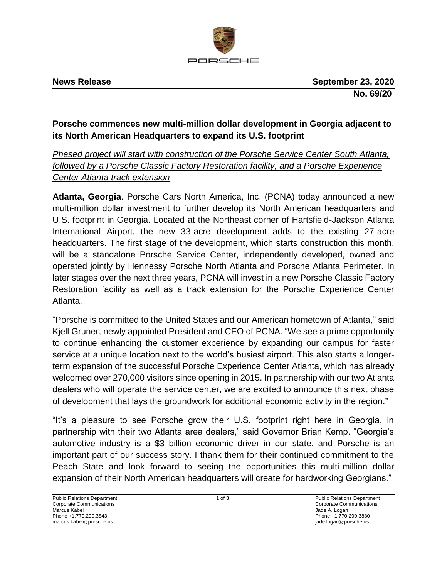

# **Porsche commences new multi-million dollar development in Georgia adjacent to its North American Headquarters to expand its U.S. footprint**

## *Phased project will start with construction of the Porsche Service Center South Atlanta, followed by a Porsche Classic Factory Restoration facility, and a Porsche Experience Center Atlanta track extension*

**Atlanta, Georgia**. Porsche Cars North America, Inc. (PCNA) today announced a new multi-million dollar investment to further develop its North American headquarters and U.S. footprint in Georgia. Located at the Northeast corner of Hartsfield-Jackson Atlanta International Airport, the new 33-acre development adds to the existing 27-acre headquarters. The first stage of the development, which starts construction this month, will be a standalone Porsche Service Center, independently developed, owned and operated jointly by Hennessy Porsche North Atlanta and Porsche Atlanta Perimeter. In later stages over the next three years, PCNA will invest in a new Porsche Classic Factory Restoration facility as well as a track extension for the Porsche Experience Center Atlanta.

"Porsche is committed to the United States and our American hometown of Atlanta," said Kjell Gruner, newly appointed President and CEO of PCNA. "We see a prime opportunity to continue enhancing the customer experience by expanding our campus for faster service at a unique location next to the world's busiest airport. This also starts a longerterm expansion of the successful Porsche Experience Center Atlanta, which has already welcomed over 270,000 visitors since opening in 2015. In partnership with our two Atlanta dealers who will operate the service center, we are excited to announce this next phase of development that lays the groundwork for additional economic activity in the region."

"It's a pleasure to see Porsche grow their U.S. footprint right here in Georgia, in partnership with their two Atlanta area dealers," said Governor Brian Kemp. "Georgia's automotive industry is a \$3 billion economic driver in our state, and Porsche is an important part of our success story. I thank them for their continued commitment to the Peach State and look forward to seeing the opportunities this multi-million dollar expansion of their North American headquarters will create for hardworking Georgians."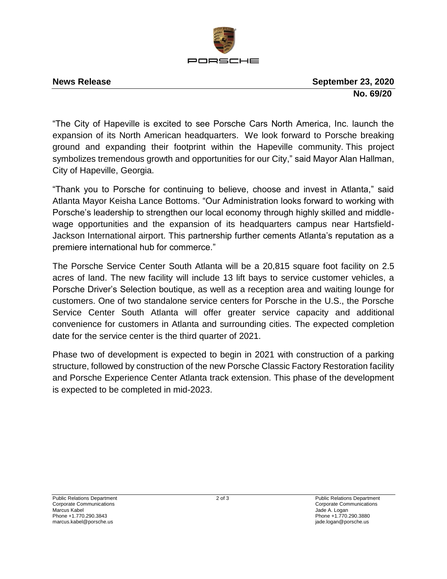

**News Release September 23, 2020 No. 69/20**

"The City of Hapeville is excited to see Porsche Cars North America, Inc. launch the expansion of its North American headquarters. We look forward to Porsche breaking ground and expanding their footprint within the Hapeville community. This project symbolizes tremendous growth and opportunities for our City," said Mayor Alan Hallman, City of Hapeville, Georgia.

"Thank you to Porsche for continuing to believe, choose and invest in Atlanta," said Atlanta Mayor Keisha Lance Bottoms. "Our Administration looks forward to working with Porsche's leadership to strengthen our local economy through highly skilled and middlewage opportunities and the expansion of its headquarters campus near Hartsfield-Jackson International airport. This partnership further cements Atlanta's reputation as a premiere international hub for commerce."

The Porsche Service Center South Atlanta will be a 20,815 square foot facility on 2.5 acres of land. The new facility will include 13 lift bays to service customer vehicles, a Porsche Driver's Selection boutique, as well as a reception area and waiting lounge for customers. One of two standalone service centers for Porsche in the U.S., the Porsche Service Center South Atlanta will offer greater service capacity and additional convenience for customers in Atlanta and surrounding cities. The expected completion date for the service center is the third quarter of 2021.

Phase two of development is expected to begin in 2021 with construction of a parking structure, followed by construction of the new Porsche Classic Factory Restoration facility and Porsche Experience Center Atlanta track extension. This phase of the development is expected to be completed in mid-2023.